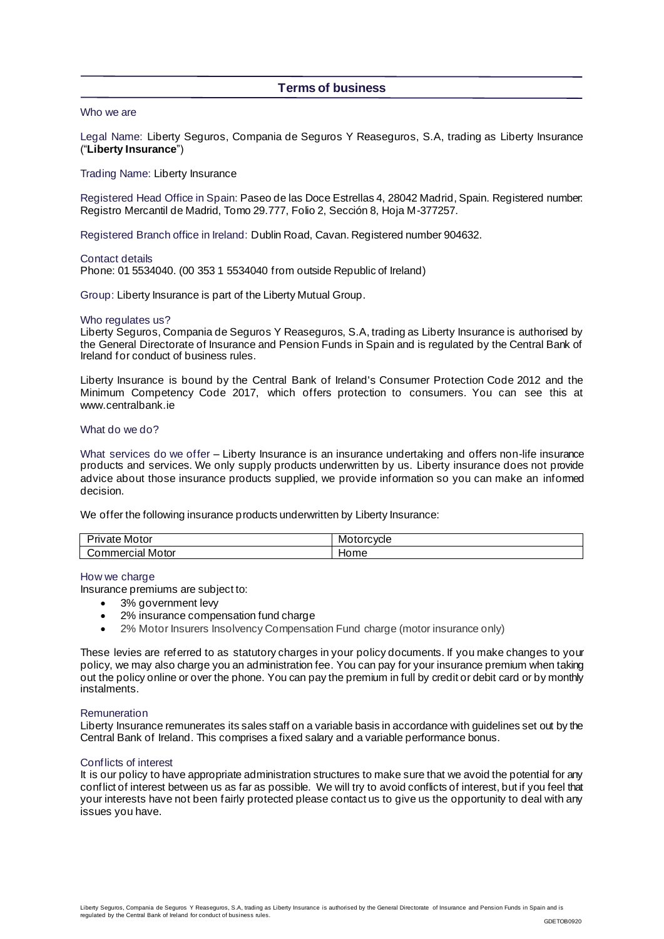# **Terms of business**

# Who we are

Legal Name: Liberty Seguros, Compania de Seguros Y Reaseguros, S.A, trading as Liberty Insurance ("**Liberty Insurance**")

# Trading Name: Liberty Insurance

Registered Head Office in Spain: Paseo de las Doce Estrellas 4, 28042 Madrid, Spain. Registered number: Registro Mercantil de Madrid, Tomo 29.777, Folio 2, Sección 8, Hoja M-377257.

Registered Branch office in Ireland: Dublin Road, Cavan. Registered number 904632.

Contact details

Phone: 01 5534040. (00 353 1 5534040 from outside Republic of Ireland)

Group: Liberty Insurance is part of the Liberty Mutual Group.

### Who regulates us?

Liberty Seguros, Compania de Seguros Y Reaseguros, S.A, trading as Liberty Insurance is authorised by the General Directorate of Insurance and Pension Funds in Spain and is regulated by the Central Bank of Ireland for conduct of business rules.

Liberty Insurance is bound by the Central Bank of Ireland's Consumer Protection Code 2012 and the Minimum Competency Code 2017, which offers protection to consumers. You can see this at www.centralbank.je

# What do we do?

What services do we offer – Liberty Insurance is an insurance undertaking and offers non-life insurance products and services. We only supply products underwritten by us. Liberty insurance does not provide advice about those insurance products supplied, we provide information so you can make an informed decision.

We offer the following insurance products underwritten by Liberty Insurance:

| -<br>Motor<br><br>nvate | Motorcycle |
|-------------------------|------------|
| Motor<br>`วmmerciai .   | סו וי      |

### How we charge

Insurance premiums are subject to:

- 3% government levy
- 2% insurance compensation fund charge
- 2% Motor Insurers Insolvency Compensation Fund charge (motor insurance only)

These levies are referred to as statutory charges in your policy documents. If you make changes to your policy, we may also charge you an administration fee. You can pay for your insurance premium when taking out the policy online or over the phone. You can pay the premium in full by credit or debit card or by monthly instalments.

### **Remuneration**

Liberty Insurance remunerates its sales staff on a variable basis in accordance with guidelines set out by the Central Bank of Ireland. This comprises a fixed salary and a variable performance bonus.

# Conflicts of interest

It is our policy to have appropriate administration structures to make sure that we avoid the potential for any conflict of interest between us as far as possible. We will try to avoid conflicts of interest, but if you feel that your interests have not been fairly protected please contact us to give us the opportunity to deal with any issues you have.